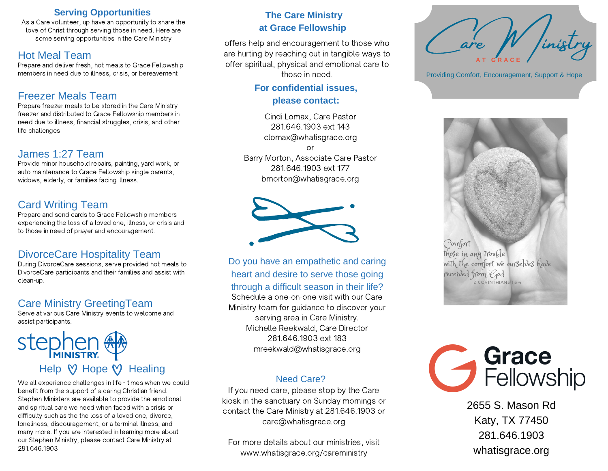### **Serving Opportunities**

As a Care volunteer, up have an opportunity to share the love of Christ through serving those in need. Here are some serving opportunities in the Care Ministry

# Hot Meal Team

Prepare and deliver fresh, hot meals to Grace Fellowship members in need due to illness, crisis, or bereavement

# Freezer Meals Team

Prepare freezer meals to be stored in the Care Ministry freezer and distributed to Grace Fellowship members in need due to illness, financial struggles, crisis, and other life challenges

# James 1:27 Team

Provide minor household repairs, painting, yard work, or auto maintenance to Grace Fellowship single parents, widows, elderly, or families facing illness.

# Card Writing Team

Prepare and send cards to Grace Fellowship members experiencing the loss of a loved one, illness, or crisis and to those in need of prayer and encouragement.

# DivorceCare Hospitality Team

During DivorceCare sessions, serve provided hot meals to DivorceCare participants and their families and assist with clean-up.

# Care Ministry GreetingTeam

Serve at various Care Ministry events to welcome and assist participants.

# stepher Help  $\heartsuit$  Hope  $\heartsuit$  Healing

We all experience challenges in life - times when we could benefit from the support of a caring Christian friend. Stephen Ministers are available to provide the emotional and spiritual care we need when faced with a crisis or difficulty such as the the loss of a loved one, divorce, loneliness, discouragement, or a terminal illness, and many more. If you are interested in learning more about our Stephen Ministry, please contact Care Ministry at 281.646.1903

### **The Care Ministry at Grace Fellowship**

offers help and encouragement to those who are hurting by reaching out in tangible ways to offer spiritual, physical and emotional care to those in need.

## **For confidential issues, please contact:**

Cindi Lomax, Care Pastor 281.646.1903 ext 143 clomax@whatisgrace.org

or Barry Morton, Associate Care Pastor 281.646.1903 ext 177 bmorton@whatisgrace.org



Do you have an empathetic and caring heart and desire to serve those going through a difficult season in their life?

Schedule a one-on-one visit with our Care Ministry team for guidance to discover your serving area in Care Ministry. Michelle Reekwald, Care Director 281.646.1903 ext 183 mreekwald@whatisgrace.org

### Need Care?

If you need care, please stop by the Care kiosk in the sanctuary on Sunday mornings or contact the Care Ministry at 281.646.1903 or care@whatisgrace.org

For more details about our ministries, visit www.whatisgrace.org/careministry



Providing Comfort, Encouragement, Support & Hope





2655 S. Mason Rd Katy, TX 77450 281.646.1903 whatisgrace.org